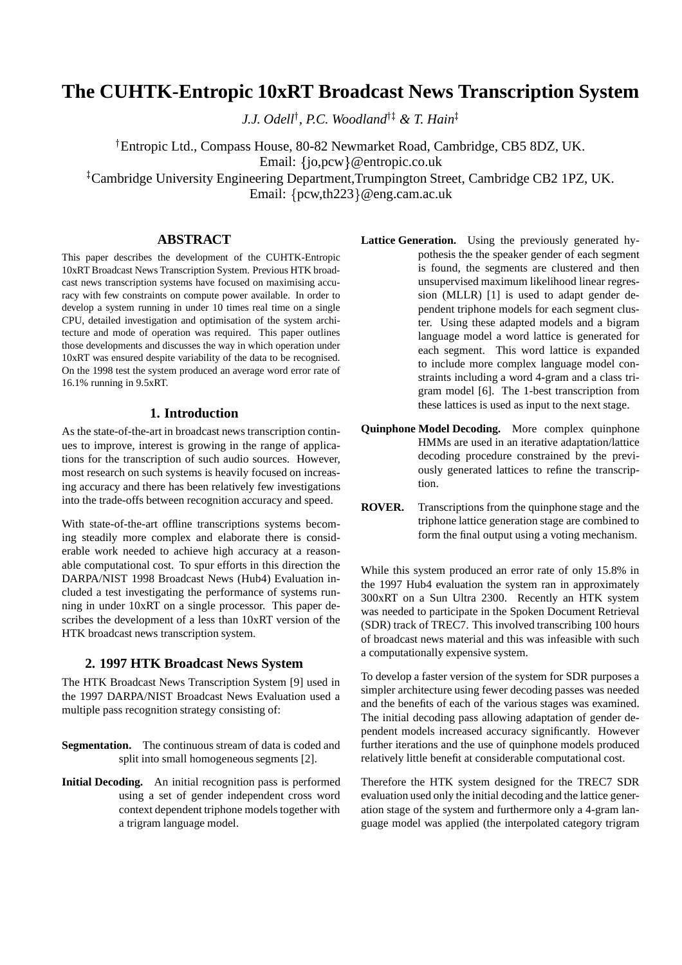# **The CUHTK-Entropic 10xRT Broadcast News Transcription System**

*J.J. Odell*<sup>†</sup>, *P.C. Woodland*<sup>†‡</sup> & *T. Hain*<sup>‡</sup>

 Entropic Ltd., Compass House, 80-82 Newmarket Road, Cambridge, CB5 8DZ, UK. Email: {jo,pcw}@entropic.co.uk Cambridge University Engineering Department,Trumpington Street, Cambridge CB2 1PZ, UK.

Email:  $\{pcw,th223\}$ @eng.cam.ac.uk

#### **ABSTRACT**

This paper describes the development of the CUHTK-Entropic 10xRT Broadcast News Transcription System. Previous HTK broadcast news transcription systems have focused on maximising accuracy with few constraints on compute power available. In order to develop a system running in under 10 times real time on a single CPU, detailed investigation and optimisation of the system architecture and mode of operation was required. This paper outlines those developments and discusses the way in which operation under 10xRT was ensured despite variability of the data to be recognised. On the 1998 test the system produced an average word error rate of 16.1% running in 9.5xRT.

#### **1. Introduction**

As the state-of-the-art in broadcast news transcription continues to improve, interest is growing in the range of applications for the transcription of such audio sources. However, most research on such systems is heavily focused on increasing accuracy and there has been relatively few investigations into the trade-offs between recognition accuracy and speed.

With state-of-the-art offline transcriptions systems becoming steadily more complex and elaborate there is considerable work needed to achieve high accuracy at a reasonable computational cost. To spur efforts in this direction the DARPA/NIST 1998 Broadcast News (Hub4) Evaluation included a test investigating the performance of systems running in under 10xRT on a single processor. This paper describes the development of a less than 10xRT version of the HTK broadcast news transcription system.

#### **2. 1997 HTK Broadcast News System**

The HTK Broadcast News Transcription System [9] used in the 1997 DARPA/NIST Broadcast News Evaluation used a multiple pass recognition strategy consisting of:

**Segmentation.** The continuous stream of data is coded and split into small homogeneous segments [2].

**Initial Decoding.** An initial recognition pass is performed using a set of gender independent cross word context dependent triphone models together with a trigram language model.

- **Lattice Generation.** Using the previously generated hypothesis the the speaker gender of each segment is found, the segments are clustered and then unsupervised maximum likelihood linear regression (MLLR) [1] is used to adapt gender dependent triphone models for each segment cluster. Using these adapted models and a bigram language model a word lattice is generated for each segment. This word lattice is expanded to include more complex language model constraints including a word 4-gram and a class trigram model [6]. The 1-best transcription from these lattices is used as input to the next stage.
- **Quinphone Model Decoding.** More complex quinphone HMMs are used in an iterative adaptation/lattice decoding procedure constrained by the previously generated lattices to refine the transcription.
- **ROVER.** Transcriptions from the quinphone stage and the triphone lattice generation stage are combined to form the final output using a voting mechanism.

While this system produced an error rate of only 15.8% in the 1997 Hub4 evaluation the system ran in approximately 300xRT on a Sun Ultra 2300. Recently an HTK system was needed to participate in the Spoken Document Retrieval (SDR) track of TREC7. This involved transcribing 100 hours of broadcast news material and this was infeasible with such a computationally expensive system.

To develop a faster version of the system for SDR purposes a simpler architecture using fewer decoding passes was needed and the benefits of each of the various stages was examined. The initial decoding pass allowing adaptation of gender dependent models increased accuracy significantly. However further iterations and the use of quinphone models produced relatively little benefit at considerable computational cost.

Therefore the HTK system designed for the TREC7 SDR evaluation used only the initial decoding and the lattice generation stage of the system and furthermore only a 4-gram language model was applied (the interpolated category trigram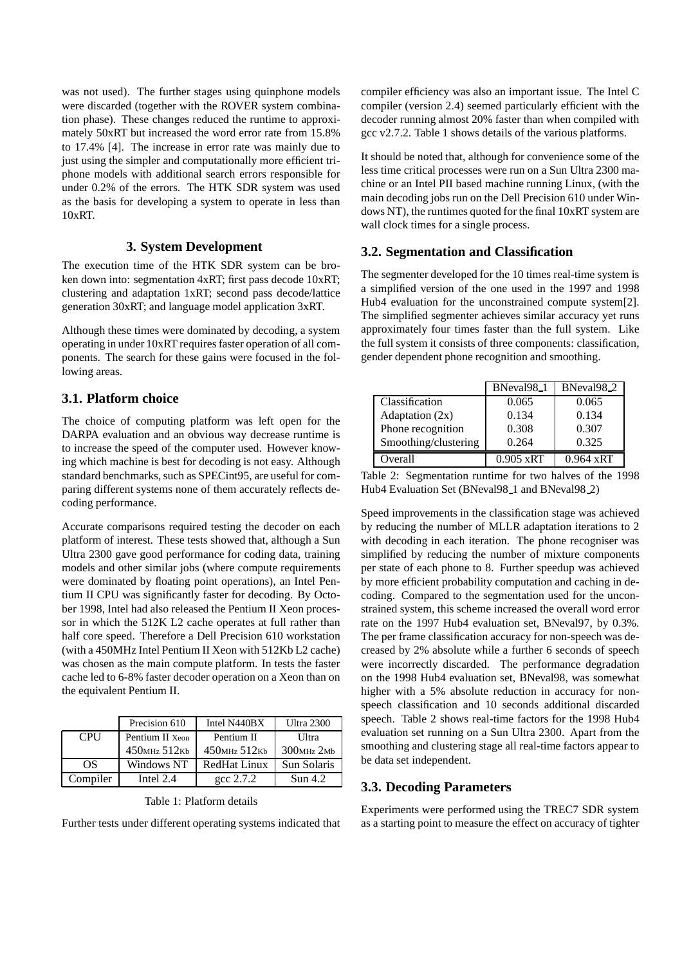was not used). The further stages using quinphone models were discarded (together with the ROVER system combination phase). These changes reduced the runtime to approximately 50xRT but increased the word error rate from 15.8% to 17.4% [4]. The increase in error rate was mainly due to just using the simpler and computationally more efficient triphone models with additional search errors responsible for under 0.2% of the errors. The HTK SDR system was used as the basis for developing a system to operate in less than 10xRT.

#### **3. System Development**

The execution time of the HTK SDR system can be broken down into: segmentation 4xRT; first pass decode 10xRT; clustering and adaptation 1xRT; second pass decode/lattice generation 30xRT; and language model application 3xRT.

Although these times were dominated by decoding, a system operating in under 10xRT requires faster operation of all components. The search for these gains were focused in the following areas.

# **3.1. Platform choice**

The choice of computing platform was left open for the DARPA evaluation and an obvious way decrease runtime is to increase the speed of the computer used. However knowing which machine is best for decoding is not easy. Although standard benchmarks, such as SPECint95, are useful for comparing different systems none of them accurately reflects decoding performance.

Accurate comparisons required testing the decoder on each platform of interest. These tests showed that, although a Sun Ultra 2300 gave good performance for coding data, training models and other similar jobs (where compute requirements were dominated by floating point operations), an Intel Pentium II CPU was significantly faster for decoding. By October 1998, Intel had also released the Pentium II Xeon processor in which the 512K L2 cache operates at full rather than half core speed. Therefore a Dell Precision 610 workstation (with a 450MHz Intel Pentium II Xeon with 512Kb L2 cache) was chosen as the main compute platform. In tests the faster cache led to 6-8% faster decoder operation on a Xeon than on the equivalent Pentium II.

|            | Precision 610      | Intel N440BX        | Ultra 2300       |
|------------|--------------------|---------------------|------------------|
| <b>CPU</b> | Pentium II Xeon    | Pentium II          | <b>U</b> ltra    |
|            | $450$ MHz $512$ Kb | 450MHz 512Kb        | $300$ MHz $2$ Mb |
| OS.        | Windows NT         | <b>RedHat Linux</b> | Sun Solaris      |
| Complier   | Intel $2.4$        | $\csc 2.7.2$        | Sun $4.2$        |

Table 1: Platform details

Further tests under different operating systems indicated that

compiler efficiency was also an important issue. The Intel C compiler (version 2.4) seemed particularly efficient with the decoder running almost 20% faster than when compiled with gcc v2.7.2. Table 1 shows details of the various platforms.

It should be noted that, although for convenience some of the less time critical processes were run on a Sun Ultra 2300 machine or an Intel PII based machine running Linux, (with the main decoding jobs run on the Dell Precision 610 under Windows NT), the runtimes quoted for the final 10xRT system are wall clock times for a single process.

# **3.2. Segmentation and Classification**

The segmenter developed for the 10 times real-time system is a simplified version of the one used in the 1997 and 1998 Hub4 evaluation for the unconstrained compute system[2]. The simplified segmenter achieves similar accuracy yet runs approximately four times faster than the full system. Like the full system it consists of three components: classification, gender dependent phone recognition and smoothing.

|                      | BNeval <sub>98_1</sub> | BNeval <sub>98_2</sub> |
|----------------------|------------------------|------------------------|
| Classification       | 0.065                  | 0.065                  |
| Adaptation $(2x)$    | 0.134                  | 0.134                  |
| Phone recognition    | 0.308                  | 0.307                  |
| Smoothing/clustering | 0.264                  | 0.325                  |
| Overall              | $0.905$ xRT            | $0.964 \text{ xRT}$    |

Table 2: Segmentation runtime for two halves of the 1998 Hub4 Evaluation Set (BNeval98\_1 and BNeval98\_2)

Speed improvements in the classification stage was achieved by reducing the number of MLLR adaptation iterations to 2 with decoding in each iteration. The phone recogniser was simplified by reducing the number of mixture components per state of each phone to 8. Further speedup was achieved by more efficient probability computation and caching in decoding. Compared to the segmentation used for the unconstrained system, this scheme increased the overall word error rate on the 1997 Hub4 evaluation set, BNeval97, by 0.3%. The per frame classification accuracy for non-speech was decreased by 2% absolute while a further 6 seconds of speech were incorrectly discarded. The performance degradation on the 1998 Hub4 evaluation set, BNeval98, was somewhat higher with a 5% absolute reduction in accuracy for nonspeech classification and 10 seconds additional discarded speech. Table 2 shows real-time factors for the 1998 Hub4 evaluation set running on a Sun Ultra 2300. Apart from the smoothing and clustering stage all real-time factors appear to be data set independent.

# **3.3. Decoding Parameters**

Experiments were performed using the TREC7 SDR system as a starting point to measure the effect on accuracy of tighter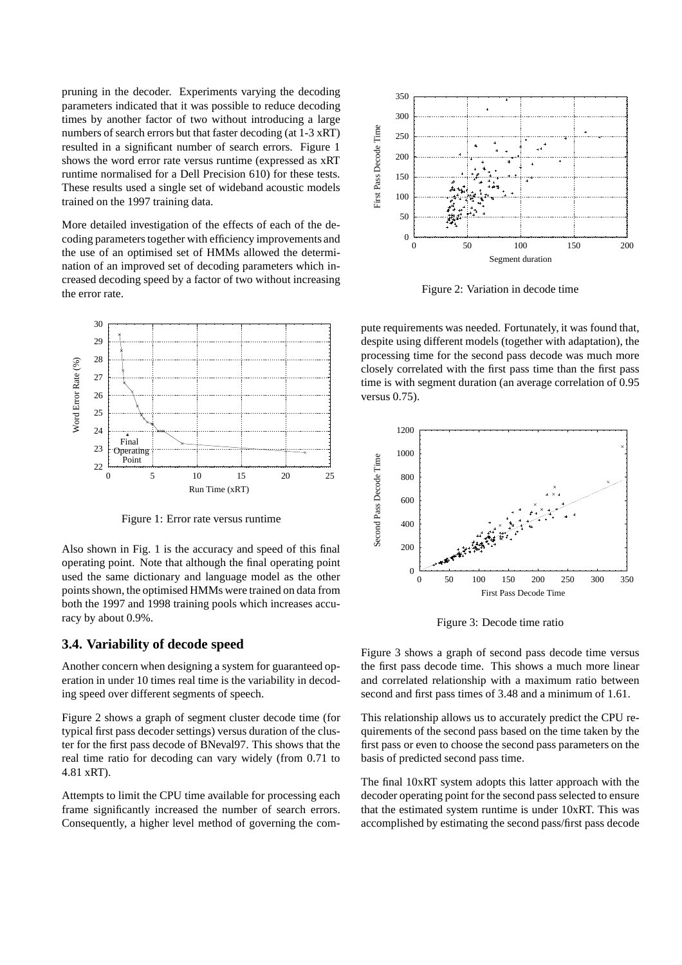pruning in the decoder. Experiments varying the decoding parameters indicated that it was possible to reduce decoding times by another factor of two without introducing a large numbers of search errors but that faster decoding (at 1-3 xRT) resulted in a significant number of search errors. Figure 1 shows the word error rate versus runtime (expressed as xRT runtime normalised for a Dell Precision 610) for these tests. These results used a single set of wideband acoustic models trained on the 1997 training data.

More detailed investigation of the effects of each of the decoding parameters together with efficiency improvements and the use of an optimised set of HMMs allowed the determination of an improved set of decoding parameters which increased decoding speed by a factor of two without increasing the error rate.



Figure 1: Error rate versus runtime

Also shown in Fig. 1 is the accuracy and speed of this final operating point. Note that although the final operating point used the same dictionary and language model as the other points shown, the optimised HMMs were trained on data from both the 1997 and 1998 training pools which increases accuracy by about 0.9%.

# **3.4. Variability of decode speed**

Another concern when designing a system for guaranteed operation in under 10 times real time is the variability in decoding speed over different segments of speech.

Figure 2 shows a graph of segment cluster decode time (for typical first pass decoder settings) versus duration of the cluster for the first pass decode of BNeval97. This shows that the real time ratio for decoding can vary widely (from 0.71 to 4.81 xRT).

Attempts to limit the CPU time available for processing each frame significantly increased the number of search errors. Consequently, a higher level method of governing the com-



Figure 2: Variation in decode time

pute requirements was needed. Fortunately, it was found that, despite using different models (together with adaptation), the processing time for the second pass decode was much more closely correlated with the first pass time than the first pass time is with segment duration (an average correlation of 0.95 versus 0.75).



Figure 3: Decode time ratio

Figure 3 shows a graph of second pass decode time versus the first pass decode time. This shows a much more linear and correlated relationship with a maximum ratio between second and first pass times of 3.48 and a minimum of 1.61.

This relationship allows us to accurately predict the CPU requirements of the second pass based on the time taken by the first pass or even to choose the second pass parameters on the basis of predicted second pass time.

The final 10xRT system adopts this latter approach with the decoder operating point for the second pass selected to ensure that the estimated system runtime is under 10xRT. This was accomplished by estimating the second pass/first pass decode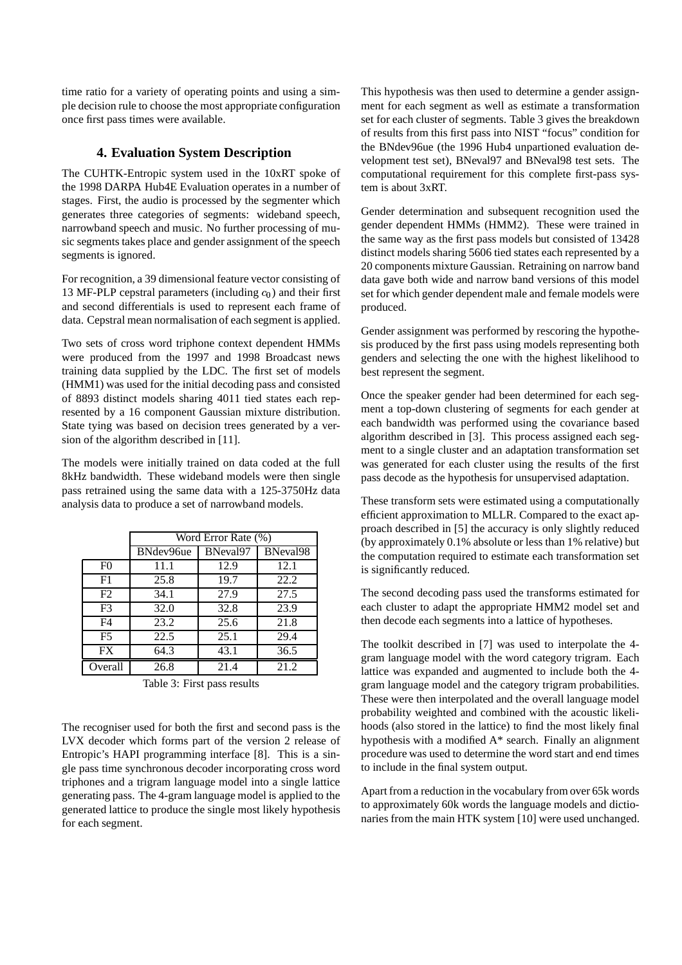time ratio for a variety of operating points and using a simple decision rule to choose the most appropriate configuration once first pass times were available.

# **4. Evaluation System Description**

The CUHTK-Entropic system used in the 10xRT spoke of the 1998 DARPA Hub4E Evaluation operates in a number of stages. First, the audio is processed by the segmenter which generates three categories of segments: wideband speech, narrowband speech and music. No further processing of music segments takes place and gender assignment of the speech segments is ignored.

For recognition, a 39 dimensional feature vector consisting of 13 MF-PLP cepstral parameters (including  $c_0$ ) and their first and second differentials is used to represent each frame of data. Cepstral mean normalisation of each segment is applied.

Two sets of cross word triphone context dependent HMMs were produced from the 1997 and 1998 Broadcast news training data supplied by the LDC. The first set of models (HMM1) was used for the initial decoding pass and consisted of 8893 distinct models sharing 4011 tied states each represented by a 16 component Gaussian mixture distribution. State tying was based on decision trees generated by a version of the algorithm described in [11].

The models were initially trained on data coded at the full 8kHz bandwidth. These wideband models were then single pass retrained using the same data with a 125-3750Hz data analysis data to produce a set of narrowband models.

|                | Word Error Rate (%) |          |          |  |
|----------------|---------------------|----------|----------|--|
|                | BNdev96ue           | BNeval97 | BNeval98 |  |
| F <sub>0</sub> | 11.1                | 12.9     | 12.1     |  |
| F1             | 25.8                | 19.7     | 22.2     |  |
| F2             | 34.1                | 27.9     | 27.5     |  |
| F <sub>3</sub> | 32.0                | 32.8     | 23.9     |  |
| F4             | 23.2                | 25.6     | 21.8     |  |
| F <sub>5</sub> | 22.5                | 25.1     | 29.4     |  |
| FX             | 64.3                | 43.1     | 36.5     |  |
| Overall        | 26.8                | 21.4     | 21.2     |  |

Table 3: First pass results

The recogniser used for both the first and second pass is the LVX decoder which forms part of the version 2 release of Entropic's HAPI programming interface [8]. This is a single pass time synchronous decoder incorporating cross word triphones and a trigram language model into a single lattice generating pass. The 4-gram language model is applied to the generated lattice to produce the single most likely hypothesis for each segment.

This hypothesis was then used to determine a gender assignment for each segment as well as estimate a transformation set for each cluster of segments. Table 3 gives the breakdown of results from this first pass into NIST "focus" condition for the BNdev96ue (the 1996 Hub4 unpartioned evaluation development test set), BNeval97 and BNeval98 test sets. The computational requirement for this complete first-pass system is about 3xRT.

Gender determination and subsequent recognition used the gender dependent HMMs (HMM2). These were trained in the same way as the first pass models but consisted of 13428 distinct models sharing 5606 tied states each represented by a 20 components mixture Gaussian. Retraining on narrow band data gave both wide and narrow band versions of this model set for which gender dependent male and female models were produced.

Gender assignment was performed by rescoring the hypothesis produced by the first pass using models representing both genders and selecting the one with the highest likelihood to best represent the segment.

Once the speaker gender had been determined for each segment a top-down clustering of segments for each gender at each bandwidth was performed using the covariance based algorithm described in [3]. This process assigned each segment to a single cluster and an adaptation transformation set was generated for each cluster using the results of the first pass decode as the hypothesis for unsupervised adaptation.

These transform sets were estimated using a computationally efficient approximation to MLLR. Compared to the exact approach described in [5] the accuracy is only slightly reduced (by approximately 0.1% absolute or less than 1% relative) but the computation required to estimate each transformation set is significantly reduced.

The second decoding pass used the transforms estimated for each cluster to adapt the appropriate HMM2 model set and then decode each segments into a lattice of hypotheses.

The toolkit described in [7] was used to interpolate the 4 gram language model with the word category trigram. Each lattice was expanded and augmented to include both the 4 gram language model and the category trigram probabilities. These were then interpolated and the overall language model probability weighted and combined with the acoustic likelihoods (also stored in the lattice) to find the most likely final hypothesis with a modified A\* search. Finally an alignment procedure was used to determine the word start and end times to include in the final system output.

Apart from a reduction in the vocabulary from over 65k words to approximately 60k words the language models and dictionaries from the main HTK system [10] were used unchanged.